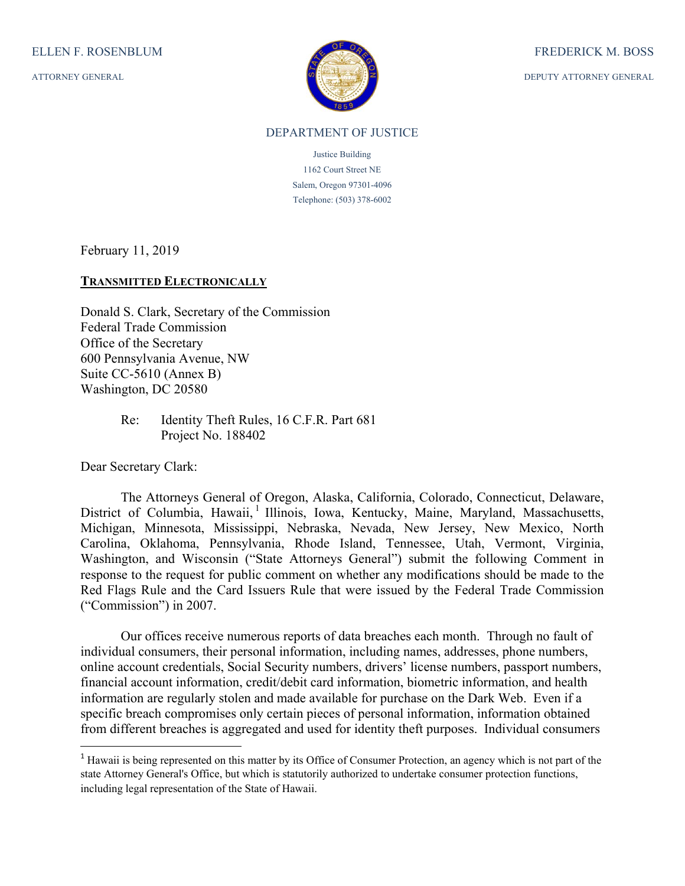ATTORNEY GENERAL



DEPUTY ATTORNEY GENERAL

## DEPARTMENT OF JUSTICE

Justice Building 1162 Court Street NE Salem, Oregon 97301-4096 Telephone: (503) 378-6002

February 11, 2019

## **TRANSMITTED ELECTRONICALLY**

Donald S. Clark, Secretary of the Commission Federal Trade Commission Office of the Secretary 600 Pennsylvania Avenue, NW Suite CC-5610 (Annex B) Washington, DC 20580

> Re: Identity Theft Rules, 16 C.F.R. Part 681 Project No. 188402

Dear Secretary Clark:

The Attorneys General of Oregon, Alaska, California, Colorado, Connecticut, Delaware, District of Columbia, Hawaii, <sup>1</sup> Illinois, Iowa, Kentucky, Maine, Maryland, Massachusetts, Michigan, Minnesota, Mississippi, Nebraska, Nevada, New Jersey, New Mexico, North Carolina, Oklahoma, Pennsylvania, Rhode Island, Tennessee, Utah, Vermont, Virginia, Washington, and Wisconsin ("State Attorneys General") submit the following Comment in response to the request for public comment on whether any modifications should be made to the Red Flags Rule and the Card Issuers Rule that were issued by the Federal Trade Commission ("Commission") in 2007.

 Our offices receive numerous reports of data breaches each month. Through no fault of individual consumers, their personal information, including names, addresses, phone numbers, online account credentials, Social Security numbers, drivers' license numbers, passport numbers, financial account information, credit/debit card information, biometric information, and health information are regularly stolen and made available for purchase on the Dark Web. Even if a specific breach compromises only certain pieces of personal information, information obtained from different breaches is aggregated and used for identity theft purposes. Individual consumers

<sup>&</sup>lt;sup>1</sup> Hawaii is being represented on this matter by its Office of Consumer Protection, an agency which is not part of the state Attorney General's Office, but which is statutorily authorized to undertake consumer protection functions, including legal representation of the State of Hawaii.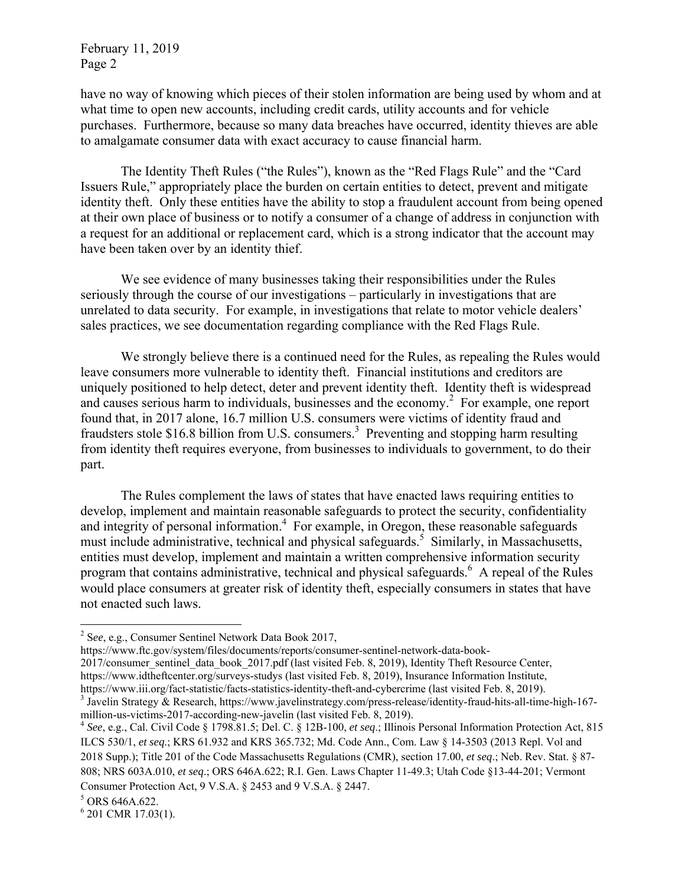have no way of knowing which pieces of their stolen information are being used by whom and at what time to open new accounts, including credit cards, utility accounts and for vehicle purchases. Furthermore, because so many data breaches have occurred, identity thieves are able to amalgamate consumer data with exact accuracy to cause financial harm.

The Identity Theft Rules ("the Rules"), known as the "Red Flags Rule" and the "Card Issuers Rule," appropriately place the burden on certain entities to detect, prevent and mitigate identity theft. Only these entities have the ability to stop a fraudulent account from being opened at their own place of business or to notify a consumer of a change of address in conjunction with a request for an additional or replacement card, which is a strong indicator that the account may have been taken over by an identity thief.

We see evidence of many businesses taking their responsibilities under the Rules seriously through the course of our investigations – particularly in investigations that are unrelated to data security. For example, in investigations that relate to motor vehicle dealers' sales practices, we see documentation regarding compliance with the Red Flags Rule.

We strongly believe there is a continued need for the Rules, as repealing the Rules would leave consumers more vulnerable to identity theft. Financial institutions and creditors are uniquely positioned to help detect, deter and prevent identity theft. Identity theft is widespread and causes serious harm to individuals, businesses and the economy.<sup>2</sup> For example, one report found that, in 2017 alone, 16.7 million U.S. consumers were victims of identity fraud and fraudsters stole \$16.8 billion from U.S. consumers.<sup>3</sup> Preventing and stopping harm resulting from identity theft requires everyone, from businesses to individuals to government, to do their part.

The Rules complement the laws of states that have enacted laws requiring entities to develop, implement and maintain reasonable safeguards to protect the security, confidentiality and integrity of personal information.<sup>4</sup> For example, in Oregon, these reasonable safeguards must include administrative, technical and physical safeguards.<sup>5</sup> Similarly, in Massachusetts, entities must develop, implement and maintain a written comprehensive information security program that contains administrative, technical and physical safeguards.<sup>6</sup> A repeal of the Rules would place consumers at greater risk of identity theft, especially consumers in states that have not enacted such laws.

<sup>2</sup> S*ee*, e.g., Consumer Sentinel Network Data Book 2017,

https://www.ftc.gov/system/files/documents/reports/consumer-sentinel-network-data-book-

<sup>2017/</sup>consumer\_sentinel\_data\_book\_2017.pdf (last visited Feb. 8, 2019), Identity Theft Resource Center, https://www.idtheftcenter.org/surveys-studys (last visited Feb. 8, 2019), Insurance Information Institute, https://www.iii.org/fact-statistic/facts-statistics-identity-theft-and-cybercrime (last visited Feb. 8, 2019).

<sup>3</sup> Javelin Strategy & Research, https://www.javelinstrategy.com/press-release/identity-fraud-hits-all-time-high-167 million-us-victims-2017-according-new-javelin (last visited Feb. 8, 2019). 4 *See*, e.g., Cal. Civil Code § 1798.81.5; Del. C. § 12B-100, *et seq*.; Illinois Personal Information Protection Act, 815

ILCS 530/1, *et seq*.; KRS 61.932 and KRS 365.732; Md. Code Ann., Com. Law § 14-3503 (2013 Repl. Vol and 2018 Supp.); Title 201 of the Code Massachusetts Regulations (CMR), section 17.00, *et seq*.; Neb. Rev. Stat. § 87- 808; NRS 603A.010, *et seq*.; ORS 646A.622; R.I. Gen. Laws Chapter 11-49.3; Utah Code §13-44-201; Vermont Consumer Protection Act, 9 V.S.A. § 2453 and 9 V.S.A. § 2447.

<sup>&</sup>lt;sup>5</sup> ORS 646A.622.

 $6$  201 CMR 17.03(1).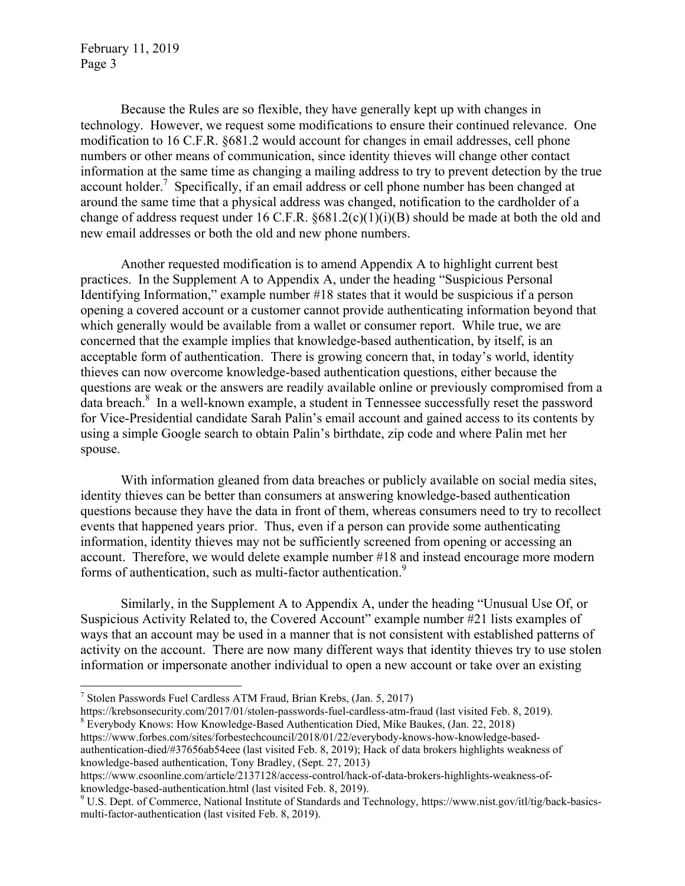Because the Rules are so flexible, they have generally kept up with changes in technology. However, we request some modifications to ensure their continued relevance. One modification to 16 C.F.R. §681.2 would account for changes in email addresses, cell phone numbers or other means of communication, since identity thieves will change other contact information at the same time as changing a mailing address to try to prevent detection by the true account holder.<sup>7</sup> Specifically, if an email address or cell phone number has been changed at around the same time that a physical address was changed, notification to the cardholder of a change of address request under 16 C.F.R.  $\frac{681.2(c)(1)(i)(B)}{B}$  should be made at both the old and new email addresses or both the old and new phone numbers.

 Another requested modification is to amend Appendix A to highlight current best practices. In the Supplement A to Appendix A, under the heading "Suspicious Personal Identifying Information," example number #18 states that it would be suspicious if a person opening a covered account or a customer cannot provide authenticating information beyond that which generally would be available from a wallet or consumer report. While true, we are concerned that the example implies that knowledge-based authentication, by itself, is an acceptable form of authentication. There is growing concern that, in today's world, identity thieves can now overcome knowledge-based authentication questions, either because the questions are weak or the answers are readily available online or previously compromised from a data breach.<sup>8</sup> In a well-known example, a student in Tennessee successfully reset the password for Vice-Presidential candidate Sarah Palin's email account and gained access to its contents by using a simple Google search to obtain Palin's birthdate, zip code and where Palin met her spouse.

With information gleaned from data breaches or publicly available on social media sites, identity thieves can be better than consumers at answering knowledge-based authentication questions because they have the data in front of them, whereas consumers need to try to recollect events that happened years prior. Thus, even if a person can provide some authenticating information, identity thieves may not be sufficiently screened from opening or accessing an account. Therefore, we would delete example number #18 and instead encourage more modern forms of authentication, such as multi-factor authentication.<sup>9</sup>

 Similarly, in the Supplement A to Appendix A, under the heading "Unusual Use Of, or Suspicious Activity Related to, the Covered Account" example number #21 lists examples of ways that an account may be used in a manner that is not consistent with established patterns of activity on the account. There are now many different ways that identity thieves try to use stolen information or impersonate another individual to open a new account or take over an existing

https://krebsonsecurity.com/2017/01/stolen-passwords-fuel-cardless-atm-fraud (last visited Feb. 8, 2019). <sup>8</sup> Everybody Knows: How Knowledge-Based Authentication Died, Mike Baukes, (Jan. 22, 2018)

https://www.forbes.com/sites/forbestechcouncil/2018/01/22/everybody-knows-how-knowledge-basedauthentication-died/#37656ab54eee (last visited Feb. 8, 2019); Hack of data brokers highlights weakness of knowledge-based authentication, Tony Bradley, (Sept. 27, 2013)

<sup>7</sup> Stolen Passwords Fuel Cardless ATM Fraud, Brian Krebs, (Jan. 5, 2017)

https://www.csoonline.com/article/2137128/access-control/hack-of-data-brokers-highlights-weakness-ofknowledge-based-authentication.html (last visited Feb. 8, 2019).

U.S. Dept. of Commerce, National Institute of Standards and Technology, https://www.nist.gov/itl/tig/back-basicsmulti-factor-authentication (last visited Feb. 8, 2019).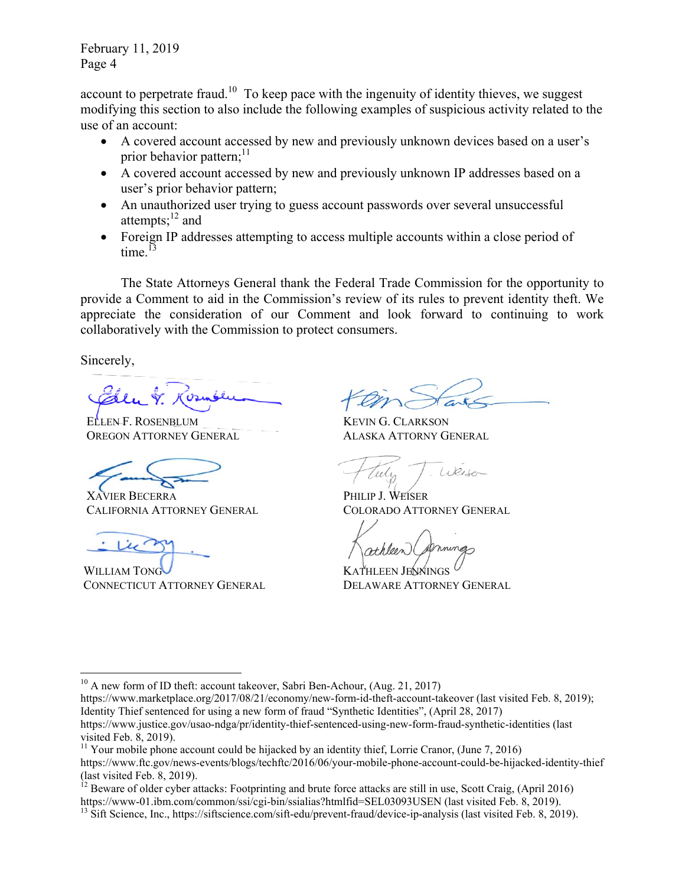account to perpetrate fraud.<sup>10</sup> To keep pace with the ingenuity of identity thieves, we suggest modifying this section to also include the following examples of suspicious activity related to the use of an account:

- A covered account accessed by new and previously unknown devices based on a user's prior behavior pattern; $11$
- A covered account accessed by new and previously unknown IP addresses based on a user's prior behavior pattern;
- An unauthorized user trying to guess account passwords over several unsuccessful attempts; $^{12}$  and
- Foreign IP addresses attempting to access multiple accounts within a close period of time. $13$

The State Attorneys General thank the Federal Trade Commission for the opportunity to provide a Comment to aid in the Commission's review of its rules to prevent identity theft. We appreciate the consideration of our Comment and look forward to continuing to work collaboratively with the Commission to protect consumers.

Sincerely,

ELLEN F. ROSENBLUM OREGON ATTORNEY GENERAL

XAVIER BECERRA CALIFORNIA ATTORNEY GENERAL

WILLIAM TONG CONNECTICUT ATTORNEY GENERAL

KEVIN G. CLARKSON ALASKA ATTORNY GENERAL

Weiser

PHILIP J. WEISER COLORADO ATTORNEY GENERAL

KATHLEEN JENNINGS DELAWARE ATTORNEY GENERAL

<sup>&</sup>lt;sup>10</sup> A new form of ID theft: account takeover, Sabri Ben-Achour, (Aug. 21, 2017)

https://www.marketplace.org/2017/08/21/economy/new-form-id-theft-account-takeover (last visited Feb. 8, 2019); Identity Thief sentenced for using a new form of fraud "Synthetic Identities", (April 28, 2017) https://www.justice.gov/usao-ndga/pr/identity-thief-sentenced-using-new-form-fraud-synthetic-identities (last visited Feb. 8, 2019).

<sup>&</sup>lt;sup>11</sup> Your mobile phone account could be hijacked by an identity thief, Lorrie Cranor, (June 7, 2016) https://www.ftc.gov/news-events/blogs/techftc/2016/06/your-mobile-phone-account-could-be-hijacked-identity-thief (last visited Feb. 8, 2019).

 $^{12}$  Beware of older cyber attacks: Footprinting and brute force attacks are still in use, Scott Craig, (April 2016) https://www-01.ibm.com/common/ssi/cgi-bin/ssialias?htmlfid=SEL03093USEN (last visited Feb. 8, 2019).

<sup>&</sup>lt;sup>13</sup> Sift Science, Inc., https://siftscience.com/sift-edu/prevent-fraud/device-ip-analysis (last visited Feb. 8, 2019).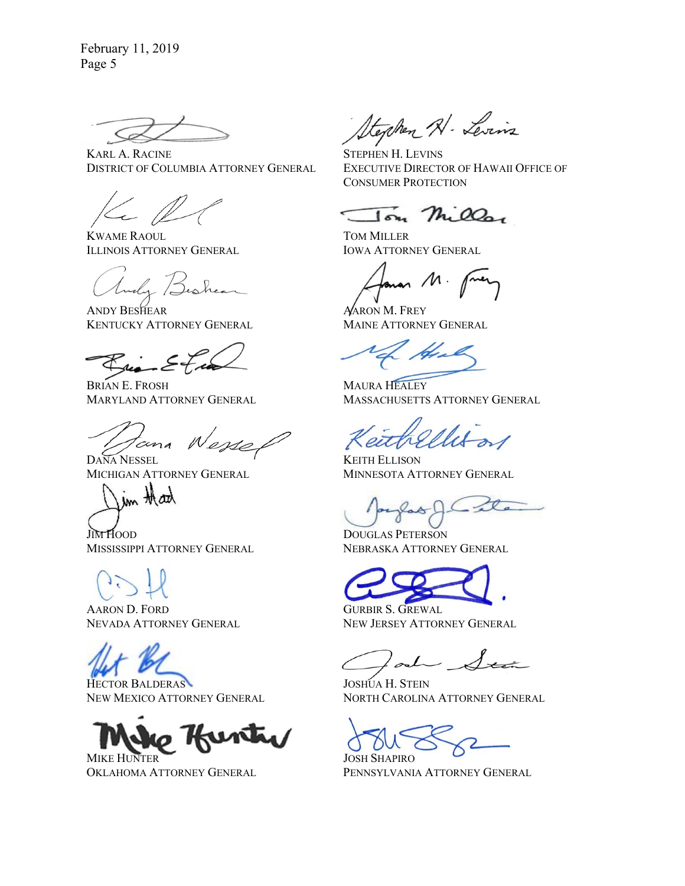KARL A. RACINE DISTRICT OF COLUMBIA ATTORNEY GENERAL

KWAME RAOUL ILLINOIS ATTORNEY GENERAL

ANDY BESHEAR KENTUCKY ATTORNEY GENERAL

BRIAN E. FROSH MARYLAND ATTORNEY GENERAL

Nesse cina

DANA NESSEL MICHIGAN ATTORNEY GENERAL

JIM HOOD MISSISSIPPI ATTORNEY GENERAL

AARON D. FORD NEVADA ATTORNEY GENERAL

HECTOR BALDERAS NEW MEXICO ATTORNEY GENERAL



OKLAHOMA ATTORNEY GENERAL

Stephen Al- Levins

STEPHEN H. LEVINS EXECUTIVE DIRECTOR OF HAWAII OFFICE OF CONSUMER PROTECTION

 $\overline{\mathsf{In}}$   $\mathcal{H}$   $\mathcal{O}_{\mathsf{on}}$ 

TOM MILLER IOWA ATTORNEY GENERAL

 $\sim$  M.

AARON M. FREY MAINE ATTORNEY GENERAL

MAURA HEALEY MASSACHUSETTS ATTORNEY GENERAL

KEITH ELLISON MINNESOTA ATTORNEY GENERAL

DOUGLAS PETERSON NEBRASKA ATTORNEY GENERAL

GURBIR S. GREWAL NEW JERSEY ATTORNEY GENERAL

JOSHUA H. STEIN NORTH CAROLINA ATTORNEY GENERAL

JOSH SHAPIRO PENNSYLVANIA ATTORNEY GENERAL